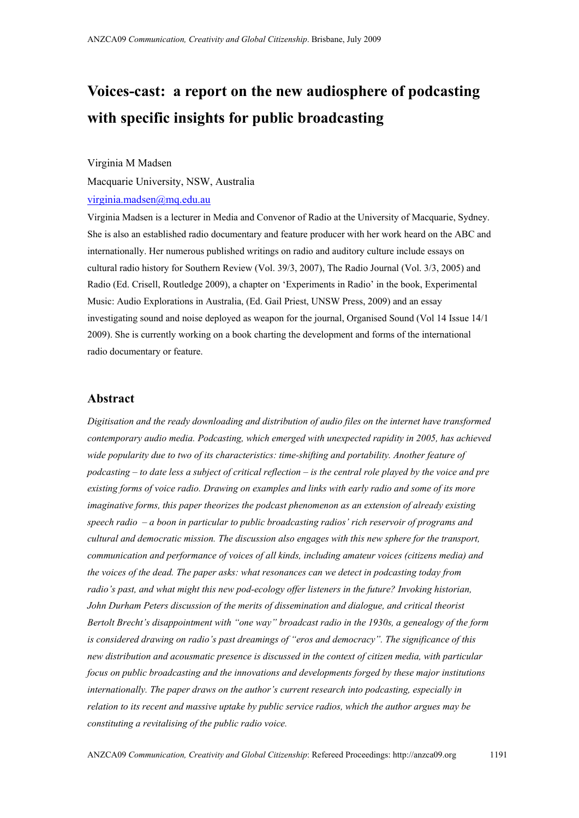# **Voices-cast: a report on the new audiosphere of podcasting with specific insights for public broadcasting**

#### Virginia M Madsen

Macquarie University, NSW, Australia

# [virginia.madsen@mq.edu.au](mailto:virginia.madsen@mq.edu.au)

Virginia Madsen is a lecturer in Media and Convenor of Radio at the University of Macquarie, Sydney. She is also an established radio documentary and feature producer with her work heard on the ABC and internationally. Her numerous published writings on radio and auditory culture include essays on cultural radio history for Southern Review (Vol. 39/3, 2007), The Radio Journal (Vol. 3/3, 2005) and Radio (Ed. Crisell, Routledge 2009), a chapter on 'Experiments in Radio' in the book, Experimental Music: Audio Explorations in Australia, (Ed. Gail Priest, UNSW Press, 2009) and an essay investigating sound and noise deployed as weapon for the journal, Organised Sound (Vol 14 Issue 14/1 2009). She is currently working on a book charting the development and forms of the international radio documentary or feature.

## **Abstract**

*Digitisation and the ready downloading and distribution of audio files on the internet have transformed contemporary audio media. Podcasting, which emerged with unexpected rapidity in 2005, has achieved wide popularity due to two of its characteristics: time-shifting and portability. Another feature of podcasting – to date less a subject of critical reflection – is the central role played by the voice and pre existing forms of voice radio. Drawing on examples and links with early radio and some of its more imaginative forms, this paper theorizes the podcast phenomenon as an extension of already existing speech radio – a boon in particular to public broadcasting radios' rich reservoir of programs and cultural and democratic mission. The discussion also engages with this new sphere for the transport, communication and performance of voices of all kinds, including amateur voices (citizens media) and the voices of the dead. The paper asks: what resonances can we detect in podcasting today from radio's past, and what might this new pod-ecology offer listeners in the future? Invoking historian, John Durham Peters discussion of the merits of dissemination and dialogue, and critical theorist Bertolt Brecht's disappointment with "one way" broadcast radio in the 1930s, a genealogy of the form is considered drawing on radio's past dreamings of "eros and democracy". The significance of this new distribution and acousmatic presence is discussed in the context of citizen media, with particular focus on public broadcasting and the innovations and developments forged by these major institutions internationally. The paper draws on the author's current research into podcasting, especially in relation to its recent and massive uptake by public service radios, which the author argues may be constituting a revitalising of the public radio voice.*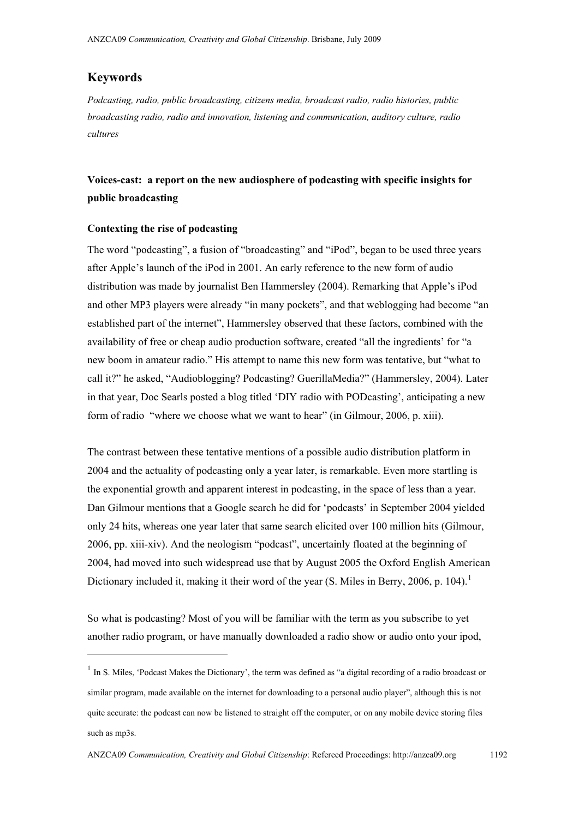### **Keywords**

 $\overline{a}$ 

*Podcasting, radio, public broadcasting, citizens media, broadcast radio, radio histories, public broadcasting radio, radio and innovation, listening and communication, auditory culture, radio cultures* 

# **Voices-cast: a report on the new audiosphere of podcasting with specific insights for public broadcasting**

#### **Contexting the rise of podcasting**

The word "podcasting", a fusion of "broadcasting" and "iPod", began to be used three years after Apple's launch of the iPod in 2001. An early reference to the new form of audio distribution was made by journalist Ben Hammersley (2004). Remarking that Apple's iPod and other MP3 players were already "in many pockets", and that weblogging had become "an established part of the internet", Hammersley observed that these factors, combined with the availability of free or cheap audio production software, created "all the ingredients' for "a new boom in amateur radio." His attempt to name this new form was tentative, but "what to call it?" he asked, "Audioblogging? Podcasting? GuerillaMedia?" (Hammersley, 2004). Later in that year, Doc Searls posted a blog titled 'DIY radio with PODcasting', anticipating a new form of radio "where we choose what we want to hear" (in Gilmour, 2006, p. xiii).

The contrast between these tentative mentions of a possible audio distribution platform in 2004 and the actuality of podcasting only a year later, is remarkable. Even more startling is the exponential growth and apparent interest in podcasting, in the space of less than a year. Dan Gilmour mentions that a Google search he did for 'podcasts' in September 2004 yielded only 24 hits, whereas one year later that same search elicited over 100 million hits (Gilmour, 2006, pp. xiii-xiv). And the neologism "podcast", uncertainly floated at the beginning of 2004, had moved into such widespread use that by August 2005 the Oxford English American Dictionary included it, making it their word of the year (S. Miles in Berry, 2006, p. [1](#page-1-0)04).<sup>1</sup>

So what is podcasting? Most of you will be familiar with the term as you subscribe to yet another radio program, or have manually downloaded a radio show or audio onto your ipod,

<span id="page-1-0"></span><sup>&</sup>lt;sup>1</sup> In S. Miles, 'Podcast Makes the Dictionary', the term was defined as "a digital recording of a radio broadcast or similar program, made available on the internet for downloading to a personal audio player", although this is not quite accurate: the podcast can now be listened to straight off the computer, or on any mobile device storing files such as mp3s.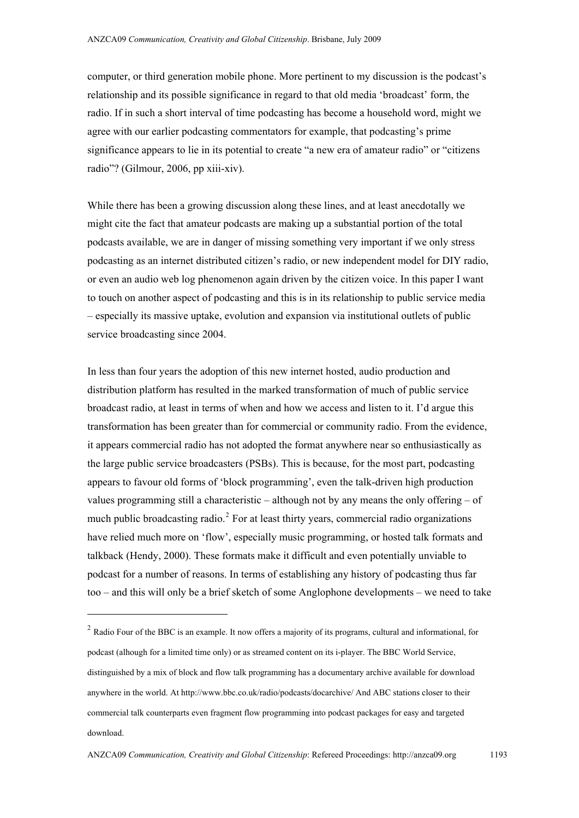computer, or third generation mobile phone. More pertinent to my discussion is the podcast's relationship and its possible significance in regard to that old media 'broadcast' form, the radio. If in such a short interval of time podcasting has become a household word, might we agree with our earlier podcasting commentators for example, that podcasting's prime significance appears to lie in its potential to create "a new era of amateur radio" or "citizens radio"? (Gilmour, 2006, pp xiii-xiv).

While there has been a growing discussion along these lines, and at least anecdotally we might cite the fact that amateur podcasts are making up a substantial portion of the total podcasts available, we are in danger of missing something very important if we only stress podcasting as an internet distributed citizen's radio, or new independent model for DIY radio, or even an audio web log phenomenon again driven by the citizen voice. In this paper I want to touch on another aspect of podcasting and this is in its relationship to public service media – especially its massive uptake, evolution and expansion via institutional outlets of public service broadcasting since 2004.

In less than four years the adoption of this new internet hosted, audio production and distribution platform has resulted in the marked transformation of much of public service broadcast radio, at least in terms of when and how we access and listen to it. I'd argue this transformation has been greater than for commercial or community radio. From the evidence, it appears commercial radio has not adopted the format anywhere near so enthusiastically as the large public service broadcasters (PSBs). This is because, for the most part, podcasting appears to favour old forms of 'block programming', even the talk-driven high production values programming still a characteristic – although not by any means the only offering – of much public broadcasting radio.<sup>[2](#page-2-0)</sup> For at least thirty years, commercial radio organizations have relied much more on 'flow', especially music programming, or hosted talk formats and talkback (Hendy, 2000). These formats make it difficult and even potentially unviable to podcast for a number of reasons. In terms of establishing any history of podcasting thus far too – and this will only be a brief sketch of some Anglophone developments – we need to take

<span id="page-2-0"></span><sup>&</sup>lt;sup>2</sup> Radio Four of the BBC is an example. It now offers a majority of its programs, cultural and informational, for podcast (alhough for a limited time only) or as streamed content on its i-player. The BBC World Service, distinguished by a mix of block and flow talk programming has a documentary archive available for download anywhere in the world. At<http://www.bbc.co.uk/radio/podcasts/docarchive/>And ABC stations closer to their commercial talk counterparts even fragment flow programming into podcast packages for easy and targeted download.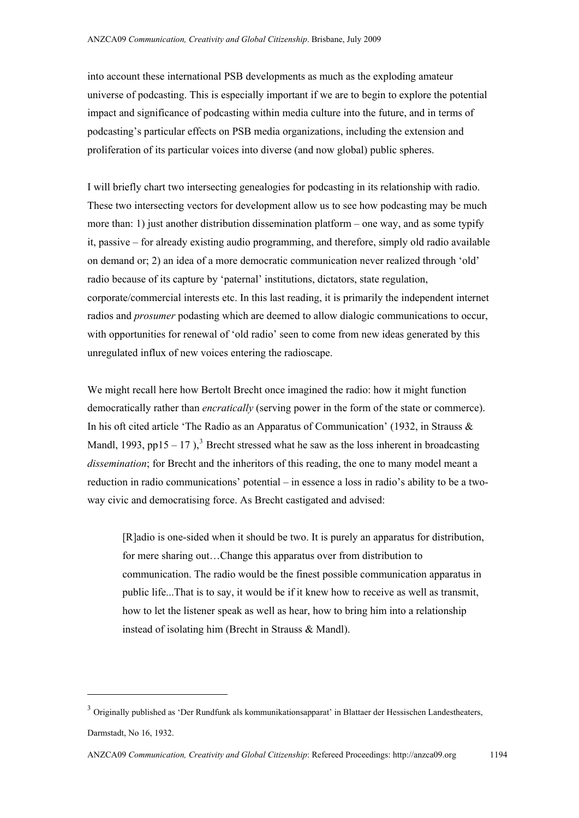into account these international PSB developments as much as the exploding amateur universe of podcasting. This is especially important if we are to begin to explore the potential impact and significance of podcasting within media culture into the future, and in terms of podcasting's particular effects on PSB media organizations, including the extension and proliferation of its particular voices into diverse (and now global) public spheres.

I will briefly chart two intersecting genealogies for podcasting in its relationship with radio. These two intersecting vectors for development allow us to see how podcasting may be much more than: 1) just another distribution dissemination platform – one way, and as some typify it, passive – for already existing audio programming, and therefore, simply old radio available on demand or; 2) an idea of a more democratic communication never realized through 'old' radio because of its capture by 'paternal' institutions, dictators, state regulation, corporate/commercial interests etc. In this last reading, it is primarily the independent internet radios and *prosumer* podasting which are deemed to allow dialogic communications to occur, with opportunities for renewal of 'old radio' seen to come from new ideas generated by this unregulated influx of new voices entering the radioscape.

We might recall here how Bertolt Brecht once imagined the radio: how it might function democratically rather than *encratically* (serving power in the form of the state or commerce). In his oft cited article 'The Radio as an Apparatus of Communication' (1932, in Strauss & Mandl, 199[3](#page-3-0), pp15 – 17),<sup>3</sup> Brecht stressed what he saw as the loss inherent in broadcasting *dissemination*; for Brecht and the inheritors of this reading, the one to many model meant a reduction in radio communications' potential – in essence a loss in radio's ability to be a twoway civic and democratising force. As Brecht castigated and advised:

[R]adio is one-sided when it should be two. It is purely an apparatus for distribution, for mere sharing out…Change this apparatus over from distribution to communication. The radio would be the finest possible communication apparatus in public life...That is to say, it would be if it knew how to receive as well as transmit, how to let the listener speak as well as hear, how to bring him into a relationship instead of isolating him (Brecht in Strauss & Mandl).

<span id="page-3-0"></span><sup>&</sup>lt;sup>3</sup> Originally published as 'Der Rundfunk als kommunikationsapparat' in Blattaer der Hessischen Landestheaters, Darmstadt, No 16, 1932.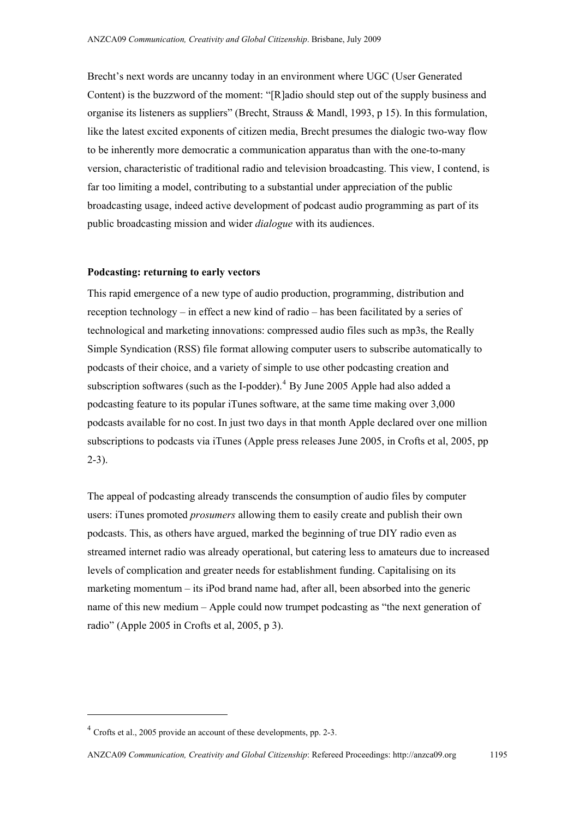Brecht's next words are uncanny today in an environment where UGC (User Generated Content) is the buzzword of the moment: "[R]adio should step out of the supply business and organise its listeners as suppliers" (Brecht, Strauss & Mandl, 1993, p 15). In this formulation, like the latest excited exponents of citizen media, Brecht presumes the dialogic two-way flow to be inherently more democratic a communication apparatus than with the one-to-many version, characteristic of traditional radio and television broadcasting. This view, I contend, is far too limiting a model, contributing to a substantial under appreciation of the public broadcasting usage, indeed active development of podcast audio programming as part of its public broadcasting mission and wider *dialogue* with its audiences.

#### **Podcasting: returning to early vectors**

This rapid emergence of a new type of audio production, programming, distribution and reception technology – in effect a new kind of radio – has been facilitated by a series of technological and marketing innovations: compressed audio files such as mp3s, the Really Simple Syndication (RSS) file format allowing computer users to subscribe automatically to podcasts of their choice, and a variety of simple to use other podcasting creation and subscription softwares (such as the I-podder).<sup>[4](#page-4-0)</sup> By June 2005 Apple had also added a podcasting feature to its popular iTunes software, at the same time making over 3,000 podcasts available for no cost.In just two days in that month Apple declared over one million subscriptions to podcasts via iTunes (Apple press releases June 2005, in Crofts et al, 2005, pp 2-3).

The appeal of podcasting already transcends the consumption of audio files by computer users: iTunes promoted *prosumers* allowing them to easily create and publish their own podcasts. This, as others have argued, marked the beginning of true DIY radio even as streamed internet radio was already operational, but catering less to amateurs due to increased levels of complication and greater needs for establishment funding. Capitalising on its marketing momentum – its iPod brand name had, after all, been absorbed into the generic name of this new medium – Apple could now trumpet podcasting as "the next generation of radio" (Apple 2005 in Crofts et al, 2005, p 3).

<span id="page-4-0"></span><sup>&</sup>lt;sup>4</sup> Crofts et al., 2005 provide an account of these developments, pp. 2-3.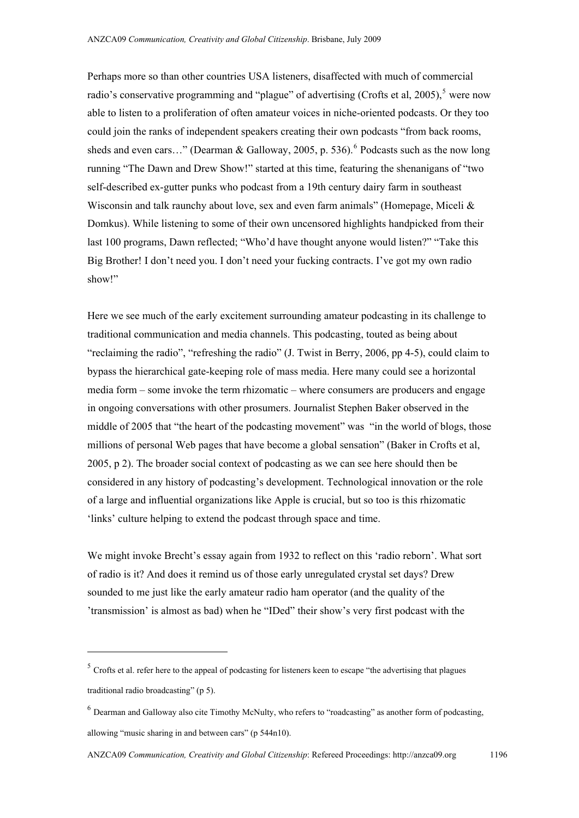Perhaps more so than other countries USA listeners, disaffected with much of commercial radio's conservative programming and "plague" of advertising (Crofts et al, 200[5](#page-5-0)),<sup>5</sup> were now able to listen to a proliferation of often amateur voices in niche-oriented podcasts. Or they too could join the ranks of independent speakers creating their own podcasts "from back rooms, sheds and even cars..." (Dearman & Galloway, 2005, p. 53[6](#page-5-1)).<sup>6</sup> Podcasts such as the now long running "The Dawn and Drew Show!" started at this time, featuring the shenanigans of "two self-described ex-gutter punks who podcast from a 19th century dairy farm in southeast Wisconsin and talk raunchy about love, sex and even farm animals" (Homepage, Miceli & Domkus). While listening to some of their own uncensored highlights handpicked from their last 100 programs, Dawn reflected; "Who'd have thought anyone would listen?" "Take this Big Brother! I don't need you. I don't need your fucking contracts. I've got my own radio show!"

Here we see much of the early excitement surrounding amateur podcasting in its challenge to traditional communication and media channels. This podcasting, touted as being about "reclaiming the radio", "refreshing the radio" (J. Twist in Berry, 2006, pp 4-5), could claim to bypass the hierarchical gate-keeping role of mass media. Here many could see a horizontal media form – some invoke the term rhizomatic – where consumers are producers and engage in ongoing conversations with other prosumers. Journalist Stephen Baker observed in the middle of 2005 that "the heart of the podcasting movement" was "in the world of blogs, those millions of personal Web pages that have become a global sensation" (Baker in Crofts et al, 2005, p 2). The broader social context of podcasting as we can see here should then be considered in any history of podcasting's development. Technological innovation or the role of a large and influential organizations like Apple is crucial, but so too is this rhizomatic 'links' culture helping to extend the podcast through space and time.

We might invoke Brecht's essay again from 1932 to reflect on this 'radio reborn'. What sort of radio is it? And does it remind us of those early unregulated crystal set days? Drew sounded to me just like the early amateur radio ham operator (and the quality of the 'transmission' is almost as bad) when he "IDed" their show's very first podcast with the

<span id="page-5-0"></span> $5$  Crofts et al. refer here to the appeal of podcasting for listeners keen to escape "the advertising that plagues traditional radio broadcasting" (p 5).

<span id="page-5-1"></span><sup>&</sup>lt;sup>6</sup> Dearman and Galloway also cite Timothy McNulty, who refers to "roadcasting" as another form of podcasting, allowing "music sharing in and between cars" (p 544n10).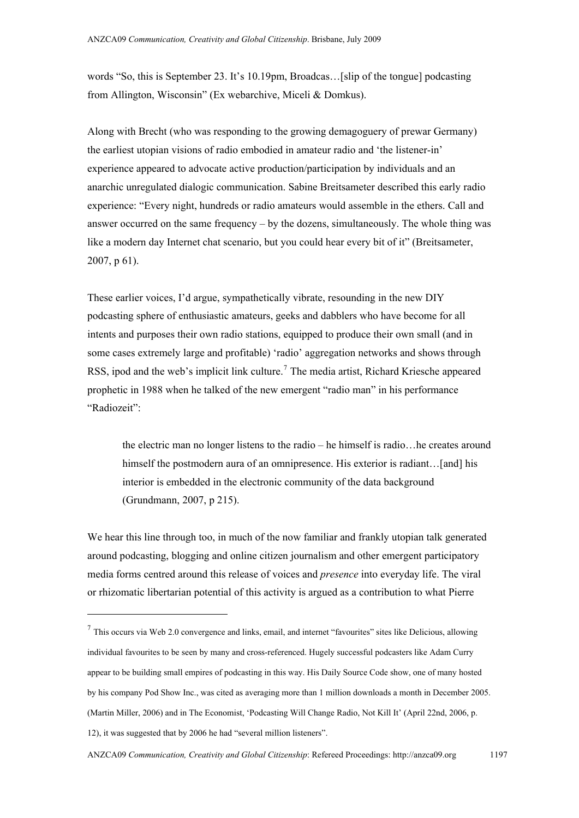words "So, this is September 23. It's 10.19pm, Broadcas…[slip of the tongue] podcasting from Allington, Wisconsin" (Ex webarchive, Miceli & Domkus).

Along with Brecht (who was responding to the growing demagoguery of prewar Germany) the earliest utopian visions of radio embodied in amateur radio and 'the listener-in' experience appeared to advocate active production/participation by individuals and an anarchic unregulated dialogic communication. Sabine Breitsameter described this early radio experience: "Every night, hundreds or radio amateurs would assemble in the ethers. Call and answer occurred on the same frequency – by the dozens, simultaneously. The whole thing was like a modern day Internet chat scenario, but you could hear every bit of it" (Breitsameter, 2007, p 61).

These earlier voices, I'd argue, sympathetically vibrate, resounding in the new DIY podcasting sphere of enthusiastic amateurs, geeks and dabblers who have become for all intents and purposes their own radio stations, equipped to produce their own small (and in some cases extremely large and profitable) 'radio' aggregation networks and shows through RSS, ipod and the web's implicit link culture.<sup>[7](#page-6-0)</sup> The media artist, Richard Kriesche appeared prophetic in 1988 when he talked of the new emergent "radio man" in his performance "Radiozeit":

the electric man no longer listens to the radio – he himself is radio…he creates around himself the postmodern aura of an omnipresence. His exterior is radiant...[and] his interior is embedded in the electronic community of the data background (Grundmann, 2007, p 215).

We hear this line through too, in much of the now familiar and frankly utopian talk generated around podcasting, blogging and online citizen journalism and other emergent participatory media forms centred around this release of voices and *presence* into everyday life. The viral or rhizomatic libertarian potential of this activity is argued as a contribution to what Pierre

 $\overline{a}$ 

<span id="page-6-0"></span> $<sup>7</sup>$  This occurs via Web 2.0 convergence and links, email, and internet "favourites" sites like Delicious, allowing</sup> individual favourites to be seen by many and cross-referenced. Hugely successful podcasters like Adam Curry appear to be building small empires of podcasting in this way. His Daily Source Code show, one of many hosted by his company Pod Show Inc., was cited as averaging more than 1 million downloads a month in December 2005. (Martin Miller, 2006) and in The Economist, 'Podcasting Will Change Radio, Not Kill It' (April 22nd, 2006, p. 12), it was suggested that by 2006 he had "several million listeners".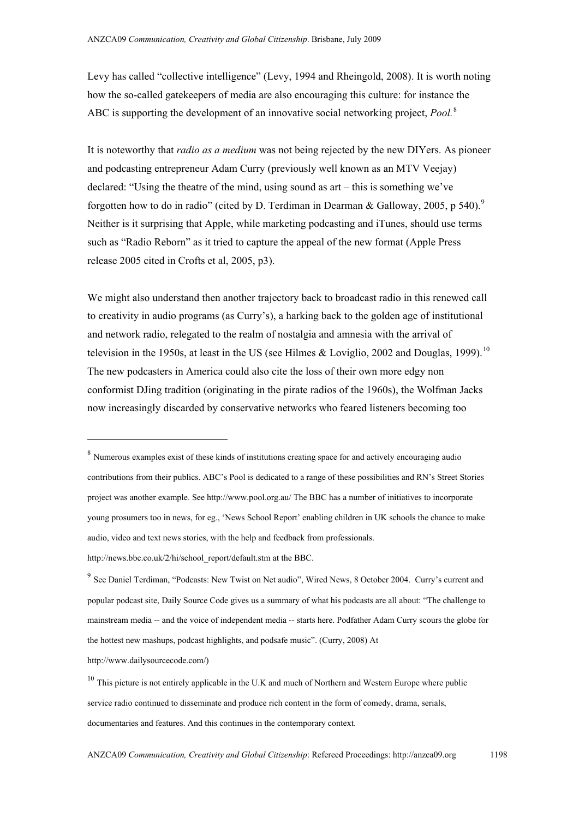Levy has called "collective intelligence" (Levy, 1994 and Rheingold, 2008). It is worth noting how the so-called gatekeepers of media are also encouraging this culture: for instance the ABC is supporting the development of an innovative social networking project, *Pool.*[8](#page-7-0)

It is noteworthy that *radio as a medium* was not being rejected by the new DIYers. As pioneer and podcasting entrepreneur Adam Curry (previously well known as an MTV Veejay) declared: "Using the theatre of the mind, using sound as art – this is something we've forgotten how to do in radio" (cited by D. Terdiman in Dearman & Galloway, 2005, p 540).<sup>[9](#page-7-1)</sup> Neither is it surprising that Apple, while marketing podcasting and iTunes, should use terms such as "Radio Reborn" as it tried to capture the appeal of the new format (Apple Press release 2005 cited in Crofts et al, 2005, p3).

We might also understand then another trajectory back to broadcast radio in this renewed call to creativity in audio programs (as Curry's), a harking back to the golden age of institutional and network radio, relegated to the realm of nostalgia and amnesia with the arrival of television in the 1950s, at least in the US (see Hilmes & Loviglio, 2002 and Douglas, 1999).<sup>[10](#page-7-2)</sup> The new podcasters in America could also cite the loss of their own more edgy non conformist DJing tradition (originating in the pirate radios of the 1960s), the Wolfman Jacks now increasingly discarded by conservative networks who feared listeners becoming too

[http://www.dailysourcecode.com/\)](http://www.dailysourcecode.com/)

 $\ddot{\phantom{a}}$ 

<span id="page-7-0"></span><sup>&</sup>lt;sup>8</sup> Numerous examples exist of these kinds of institutions creating space for and actively encouraging audio contributions from their publics. ABC's Pool is dedicated to a range of these possibilities and RN's Street Stories project was another example. See <http://www.pool.org.au/>The BBC has a number of initiatives to incorporate young prosumers too in news, for eg., 'News School Report' enabling children in UK schools the chance to make audio, video and text news stories, with the help and feedback from professionals.

http://news.bbc.co.uk/2/hi/school\_report/default.stm at the BBC.

<span id="page-7-1"></span><sup>&</sup>lt;sup>9</sup> See Daniel Terdiman, "Podcasts: New Twist on Net audio", Wired News, 8 October 2004. Curry's current and popular podcast site, Daily Source Code gives us a summary of what his podcasts are all about: "The challenge to mainstream media -- and the voice of independent media -- starts here. Podfather Adam Curry scours the globe for the hottest new mashups, podcast highlights, and podsafe music". (Curry, 2008) At

<span id="page-7-2"></span> $10$  This picture is not entirely applicable in the U.K and much of Northern and Western Europe where public service radio continued to disseminate and produce rich content in the form of comedy, drama, serials, documentaries and features. And this continues in the contemporary context.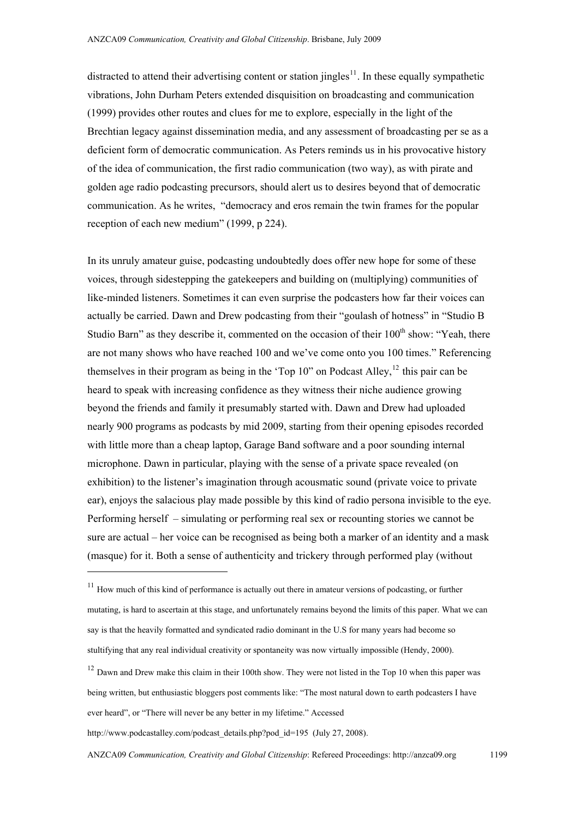distracted to attend their advertising content or station jingles $<sup>11</sup>$  $<sup>11</sup>$  $<sup>11</sup>$ . In these equally sympathetic</sup> vibrations, John Durham Peters extended disquisition on broadcasting and communication (1999) provides other routes and clues for me to explore, especially in the light of the Brechtian legacy against dissemination media, and any assessment of broadcasting per se as a deficient form of democratic communication. As Peters reminds us in his provocative history of the idea of communication, the first radio communication (two way), as with pirate and golden age radio podcasting precursors, should alert us to desires beyond that of democratic communication. As he writes, "democracy and eros remain the twin frames for the popular reception of each new medium" (1999, p 224).

In its unruly amateur guise, podcasting undoubtedly does offer new hope for some of these voices, through sidestepping the gatekeepers and building on (multiplying) communities of like-minded listeners. Sometimes it can even surprise the podcasters how far their voices can actually be carried. Dawn and Drew podcasting from their "goulash of hotness" in "Studio B Studio Barn" as they describe it, commented on the occasion of their  $100<sup>th</sup>$  show: "Yeah, there are not many shows who have reached 100 and we've come onto you 100 times." Referencing themselves in their program as being in the 'Top  $10$ " on Podcast Alley,<sup>[12](#page-8-1)</sup> this pair can be heard to speak with increasing confidence as they witness their niche audience growing beyond the friends and family it presumably started with. Dawn and Drew had uploaded nearly 900 programs as podcasts by mid 2009, starting from their opening episodes recorded with little more than a cheap laptop, Garage Band software and a poor sounding internal microphone. Dawn in particular, playing with the sense of a private space revealed (on exhibition) to the listener's imagination through acousmatic sound (private voice to private ear), enjoys the salacious play made possible by this kind of radio persona invisible to the eye. Performing herself – simulating or performing real sex or recounting stories we cannot be sure are actual – her voice can be recognised as being both a marker of an identity and a mask (masque) for it. Both a sense of authenticity and trickery through performed play (without

 $\overline{a}$ 

<span id="page-8-0"></span> $11$  How much of this kind of performance is actually out there in amateur versions of podcasting, or further mutating, is hard to ascertain at this stage, and unfortunately remains beyond the limits of this paper. What we can say is that the heavily formatted and syndicated radio dominant in the U.S for many years had become so stultifying that any real individual creativity or spontaneity was now virtually impossible (Hendy, 2000).

<span id="page-8-1"></span> $12$  Dawn and Drew make this claim in their 100th show. They were not listed in the Top 10 when this paper was being written, but enthusiastic bloggers post comments like: "The most natural down to earth podcasters I have ever heard", or "There will never be any better in my lifetime." Accessed

[http://www.podcastalley.com/podcast\\_details.php?pod\\_id=195](http://www.podcastalley.com/podcast_details.php?pod_id=195) (July 27, 2008).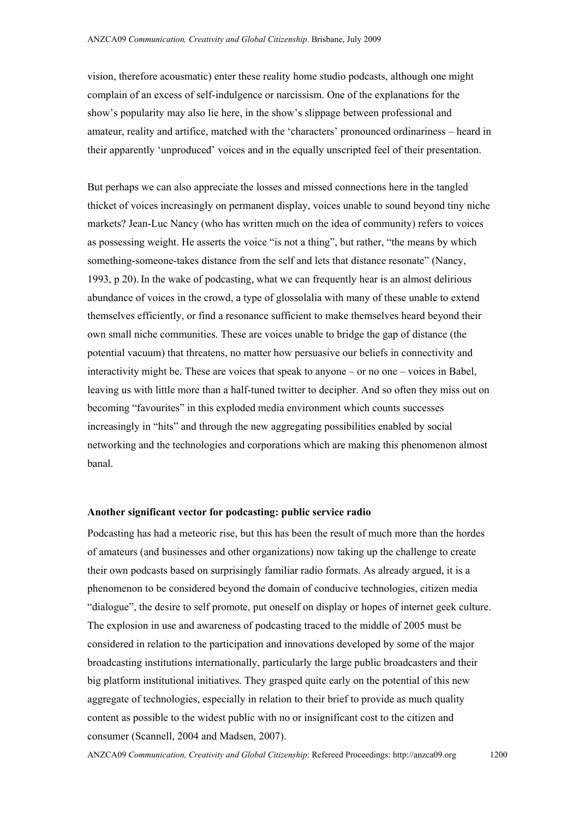vision, therefore acousmatic) enter these reality home studio podcasts, although one might complain of an excess of self-indulgence or narcissism. One of the explanations for the show's popularity may also lie here, in the show's slippage between professional and amateur, reality and artifice, matched with the 'characters' pronounced ordinariness – heard in their apparently 'unproduced' voices and in the equally unscripted feel of their presentation.

But perhaps we can also appreciate the losses and missed connections here in the tangled thicket of voices increasingly on permanent display, voices unable to sound beyond tiny niche markets? Jean-Luc Nancy (who has written much on the idea of community) refers to voices as possessing weight. He asserts the voice "is not a thing", but rather, "the means by which something-someone-takes distance from the self and lets that distance resonate" (Nancy, 1993, p 20).In the wake of podcasting, what we can frequently hear is an almost delirious abundance of voices in the crowd, a type of glossolalia with many of these unable to extend themselves efficiently, or find a resonance sufficient to make themselves heard beyond their own small niche communities. These are voices unable to bridge the gap of distance (the potential vacuum) that threatens, no matter how persuasive our beliefs in connectivity and interactivity might be. These are voices that speak to anyone – or no one – voices in Babel, leaving us with little more than a half-tuned twitter to decipher. And so often they miss out on becoming "favourites" in this exploded media environment which counts successes increasingly in "hits" and through the new aggregating possibilities enabled by social networking and the technologies and corporations which are making this phenomenon almost banal.

#### **Another significant vector for podcasting: public service radio**

Podcasting has had a meteoric rise, but this has been the result of much more than the hordes of amateurs (and businesses and other organizations) now taking up the challenge to create their own podcasts based on surprisingly familiar radio formats. As already argued, it is a phenomenon to be considered beyond the domain of conducive technologies, citizen media "dialogue", the desire to self promote, put oneself on display or hopes of internet geek culture. The explosion in use and awareness of podcasting traced to the middle of 2005 must be considered in relation to the participation and innovations developed by some of the major broadcasting institutions internationally, particularly the large public broadcasters and their big platform institutional initiatives. They grasped quite early on the potential of this new aggregate of technologies, especially in relation to their brief to provide as much quality content as possible to the widest public with no or insignificant cost to the citizen and consumer (Scannell, 2004 and Madsen, 2007).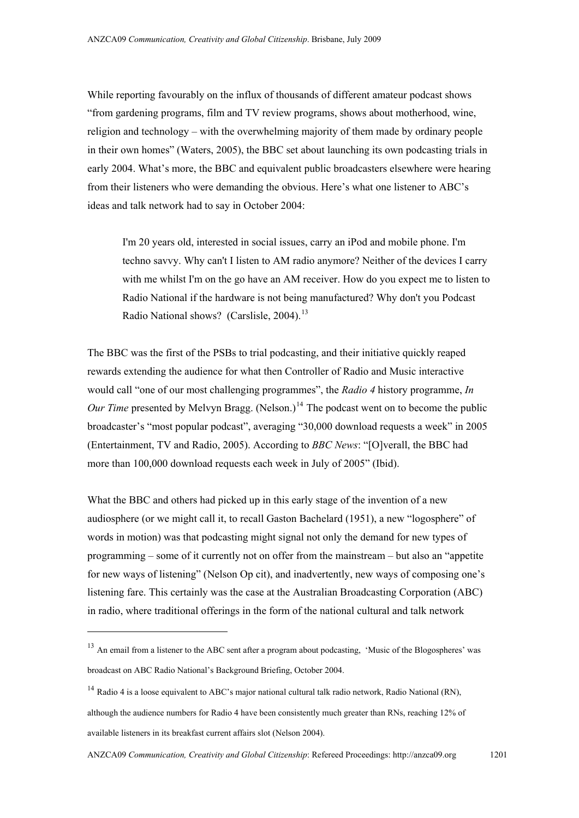While reporting favourably on the influx of thousands of different amateur podcast shows "from gardening programs, film and TV review programs, shows about motherhood, wine, religion and technology – with the overwhelming majority of them made by ordinary people in their own homes" (Waters, 2005), the BBC set about launching its own podcasting trials in early 2004. What's more, the BBC and equivalent public broadcasters elsewhere were hearing from their listeners who were demanding the obvious. Here's what one listener to ABC's ideas and talk network had to say in October 2004:

I'm 20 years old, interested in social issues, carry an iPod and mobile phone. I'm techno savvy. Why can't I listen to AM radio anymore? Neither of the devices I carry with me whilst I'm on the go have an AM receiver. How do you expect me to listen to Radio National if the hardware is not being manufactured? Why don't you Podcast Radio National shows? (Carslisle, 2004).<sup>[13](#page-10-0)</sup>

The BBC was the first of the PSBs to trial podcasting, and their initiative quickly reaped rewards extending the audience for what then Controller of Radio and Music interactive would call "one of our most challenging programmes", the *Radio 4* history programme, *In Our Time* presented by Melvyn Bragg. (Nelson.)<sup>[14](#page-10-1)</sup> The podcast went on to become the public broadcaster's "most popular podcast", averaging "30,000 download requests a week" in 2005 (Entertainment, TV and Radio, 2005). According to *BBC News*: "[O]verall, the BBC had more than 100,000 download requests each week in July of 2005" (Ibid).

What the BBC and others had picked up in this early stage of the invention of a new audiosphere (or we might call it, to recall Gaston Bachelard (1951), a new "logosphere" of words in motion) was that podcasting might signal not only the demand for new types of programming – some of it currently not on offer from the mainstream – but also an "appetite for new ways of listening" (Nelson Op cit), and inadvertently, new ways of composing one's listening fare. This certainly was the case at the Australian Broadcasting Corporation (ABC) in radio, where traditional offerings in the form of the national cultural and talk network

 $\overline{a}$ 

<span id="page-10-0"></span><sup>&</sup>lt;sup>13</sup> An email from a listener to the ABC sent after a program about podcasting, 'Music of the Blogospheres' was broadcast on ABC Radio National's Background Briefing, October 2004.

<span id="page-10-1"></span> $14$  Radio 4 is a loose equivalent to ABC's major national cultural talk radio network, Radio National (RN), although the audience numbers for Radio 4 have been consistently much greater than RNs, reaching 12% of available listeners in its breakfast current affairs slot (Nelson 2004).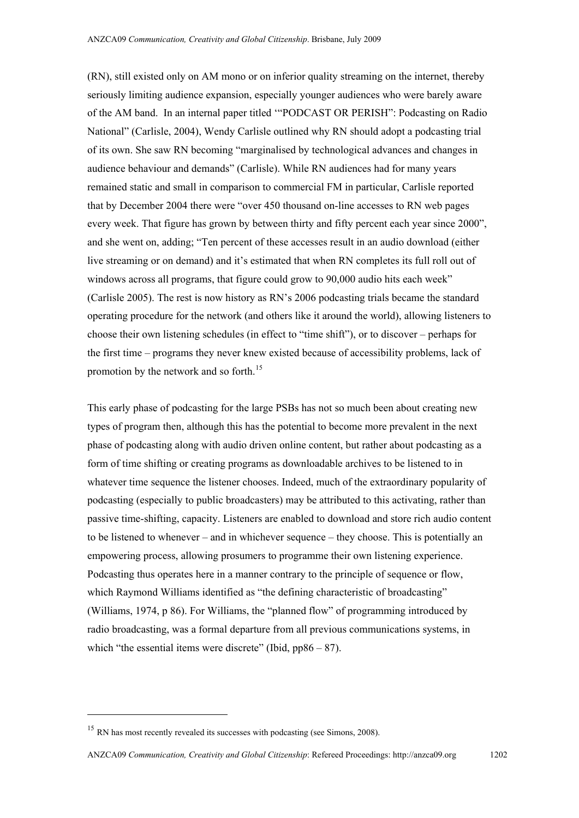(RN), still existed only on AM mono or on inferior quality streaming on the internet, thereby seriously limiting audience expansion, especially younger audiences who were barely aware of the AM band. In an internal paper titled '"PODCAST OR PERISH": Podcasting on Radio National" (Carlisle, 2004), Wendy Carlisle outlined why RN should adopt a podcasting trial of its own. She saw RN becoming "marginalised by technological advances and changes in audience behaviour and demands" (Carlisle). While RN audiences had for many years remained static and small in comparison to commercial FM in particular, Carlisle reported that by December 2004 there were "over 450 thousand on-line accesses to RN web pages every week. That figure has grown by between thirty and fifty percent each year since 2000", and she went on, adding; "Ten percent of these accesses result in an audio download (either live streaming or on demand) and it's estimated that when RN completes its full roll out of windows across all programs, that figure could grow to 90,000 audio hits each week" (Carlisle 2005). The rest is now history as RN's 2006 podcasting trials became the standard operating procedure for the network (and others like it around the world), allowing listeners to choose their own listening schedules (in effect to "time shift"), or to discover – perhaps for the first time – programs they never knew existed because of accessibility problems, lack of promotion by the network and so forth.<sup>[15](#page-11-0)</sup>

This early phase of podcasting for the large PSBs has not so much been about creating new types of program then, although this has the potential to become more prevalent in the next phase of podcasting along with audio driven online content, but rather about podcasting as a form of time shifting or creating programs as downloadable archives to be listened to in whatever time sequence the listener chooses. Indeed, much of the extraordinary popularity of podcasting (especially to public broadcasters) may be attributed to this activating, rather than passive time-shifting, capacity. Listeners are enabled to download and store rich audio content to be listened to whenever – and in whichever sequence – they choose. This is potentially an empowering process, allowing prosumers to programme their own listening experience. Podcasting thus operates here in a manner contrary to the principle of sequence or flow, which Raymond Williams identified as "the defining characteristic of broadcasting" (Williams, 1974, p 86). For Williams, the "planned flow" of programming introduced by radio broadcasting, was a formal departure from all previous communications systems, in which "the essential items were discrete" (Ibid,  $pp86 - 87$ ).

<span id="page-11-0"></span><sup>&</sup>lt;sup>15</sup> RN has most recently revealed its successes with podcasting (see Simons, 2008).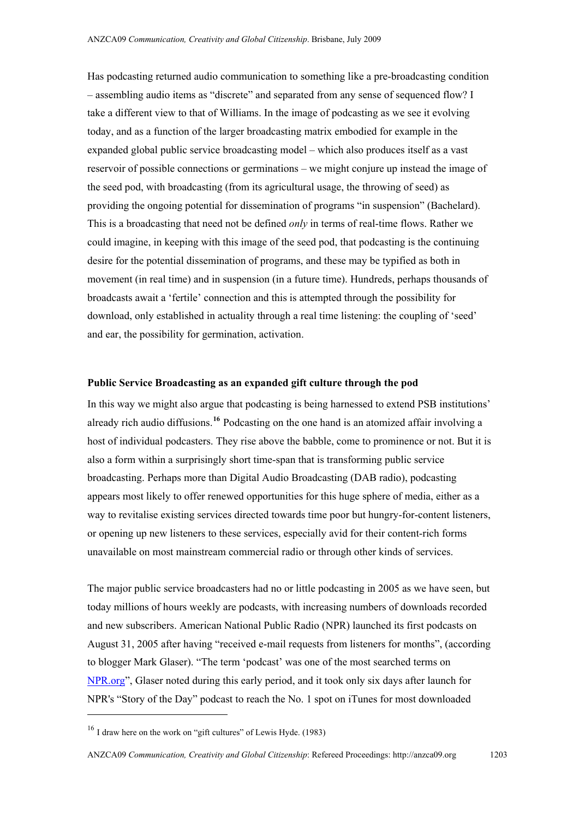Has podcasting returned audio communication to something like a pre-broadcasting condition – assembling audio items as "discrete" and separated from any sense of sequenced flow? I take a different view to that of Williams. In the image of podcasting as we see it evolving today, and as a function of the larger broadcasting matrix embodied for example in the expanded global public service broadcasting model – which also produces itself as a vast reservoir of possible connections or germinations – we might conjure up instead the image of the seed pod, with broadcasting (from its agricultural usage, the throwing of seed) as providing the ongoing potential for dissemination of programs "in suspension" (Bachelard). This is a broadcasting that need not be defined *only* in terms of real-time flows. Rather we could imagine, in keeping with this image of the seed pod, that podcasting is the continuing desire for the potential dissemination of programs, and these may be typified as both in movement (in real time) and in suspension (in a future time). Hundreds, perhaps thousands of broadcasts await a 'fertile' connection and this is attempted through the possibility for download, only established in actuality through a real time listening: the coupling of 'seed' and ear, the possibility for germination, activation.

#### **Public Service Broadcasting as an expanded gift culture through the pod**

In this way we might also argue that podcasting is being harnessed to extend PSB institutions' already rich audio diffusions.**[16](#page-12-0)** Podcasting on the one hand is an atomized affair involving a host of individual podcasters. They rise above the babble, come to prominence or not. But it is also a form within a surprisingly short time-span that is transforming public service broadcasting. Perhaps more than Digital Audio Broadcasting (DAB radio), podcasting appears most likely to offer renewed opportunities for this huge sphere of media, either as a way to revitalise existing services directed towards time poor but hungry-for-content listeners, or opening up new listeners to these services, especially avid for their content-rich forms unavailable on most mainstream commercial radio or through other kinds of services.

The major public service broadcasters had no or little podcasting in 2005 as we have seen, but today millions of hours weekly are podcasts, with increasing numbers of downloads recorded and new subscribers. American National Public Radio (NPR) launched its first podcasts on August 31, 2005 after having "received e-mail requests from listeners for months", (according to blogger Mark Glaser). "The term 'podcast' was one of the most searched terms on [NPR.org"](http://www.npr.org/), Glaser noted during this early period, and it took only six days after launch for NPR's "Story of the Day" podcast to reach the No. 1 spot on iTunes for most downloaded

<span id="page-12-0"></span><sup>&</sup>lt;sup>16</sup> I draw here on the work on "gift cultures" of Lewis Hyde. (1983)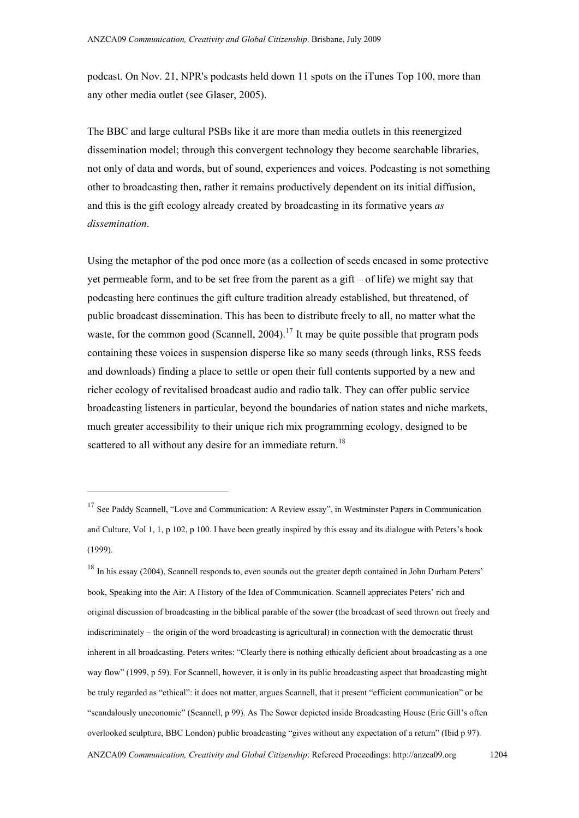podcast. On Nov. 21, NPR's podcasts held down 11 spots on the iTunes Top 100, more than any other media outlet (see Glaser, 2005).

The BBC and large cultural PSBs like it are more than media outlets in this reenergized dissemination model; through this convergent technology they become searchable libraries, not only of data and words, but of sound, experiences and voices. Podcasting is not something other to broadcasting then, rather it remains productively dependent on its initial diffusion, and this is the gift ecology already created by broadcasting in its formative years *as dissemination*.

Using the metaphor of the pod once more (as a collection of seeds encased in some protective yet permeable form, and to be set free from the parent as a gift – of life) we might say that podcasting here continues the gift culture tradition already established, but threatened, of public broadcast dissemination. This has been to distribute freely to all, no matter what the waste, for the common good (Scannell, 2004).<sup>[17](#page-13-0)</sup> It may be quite possible that program pods containing these voices in suspension disperse like so many seeds (through links, RSS feeds and downloads) finding a place to settle or open their full contents supported by a new and richer ecology of revitalised broadcast audio and radio talk. They can offer public service broadcasting listeners in particular, beyond the boundaries of nation states and niche markets, much greater accessibility to their unique rich mix programming ecology, designed to be scattered to all without any desire for an immediate return.<sup>[18](#page-13-1)</sup>

<span id="page-13-0"></span><sup>&</sup>lt;sup>17</sup> See Paddy Scannell, "Love and Communication: A Review essay", in Westminster Papers in Communication and Culture, Vol 1, 1, p 102, p 100. I have been greatly inspired by this essay and its dialogue with Peters's book (1999).

<span id="page-13-1"></span><sup>&</sup>lt;sup>18</sup> In his essay (2004), Scannell responds to, even sounds out the greater depth contained in John Durham Peters' book, Speaking into the Air: A History of the Idea of Communication. Scannell appreciates Peters' rich and original discussion of broadcasting in the biblical parable of the sower (the broadcast of seed thrown out freely and indiscriminately – the origin of the word broadcasting is agricultural) in connection with the democratic thrust inherent in all broadcasting. Peters writes: "Clearly there is nothing ethically deficient about broadcasting as a one way flow" (1999, p 59). For Scannell, however, it is only in its public broadcasting aspect that broadcasting might be truly regarded as "ethical": it does not matter, argues Scannell, that it present "efficient communication" or be "scandalously uneconomic" (Scannell, p 99). As The Sower depicted inside Broadcasting House (Eric Gill's often overlooked sculpture, BBC London) public broadcasting "gives without any expectation of a return" (Ibid p 97). ANZCA09 *Communication, Creativity and Global Citizenship*: Refereed Proceedings: http://anzca09.org 1204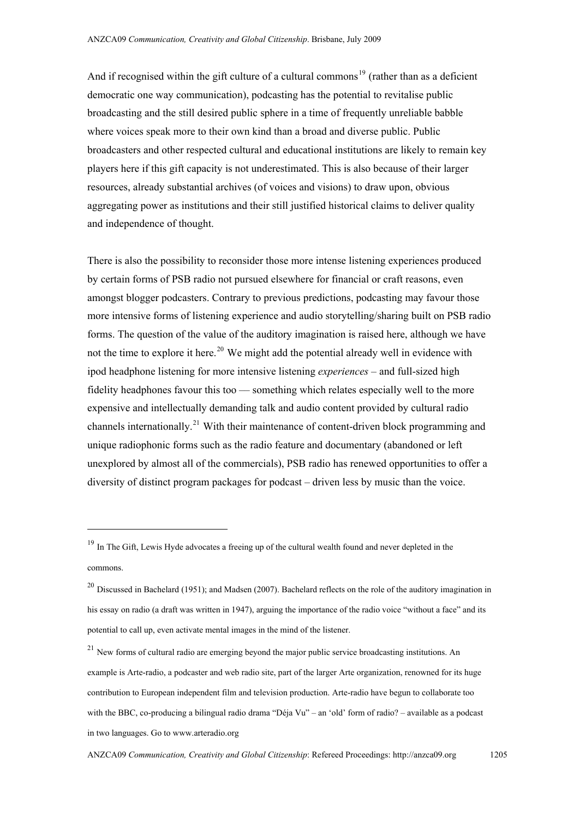And if recognised within the gift culture of a cultural commons<sup> $19$ </sup> (rather than as a deficient democratic one way communication), podcasting has the potential to revitalise public broadcasting and the still desired public sphere in a time of frequently unreliable babble where voices speak more to their own kind than a broad and diverse public. Public broadcasters and other respected cultural and educational institutions are likely to remain key players here if this gift capacity is not underestimated. This is also because of their larger resources, already substantial archives (of voices and visions) to draw upon, obvious aggregating power as institutions and their still justified historical claims to deliver quality and independence of thought.

There is also the possibility to reconsider those more intense listening experiences produced by certain forms of PSB radio not pursued elsewhere for financial or craft reasons, even amongst blogger podcasters. Contrary to previous predictions, podcasting may favour those more intensive forms of listening experience and audio storytelling/sharing built on PSB radio forms. The question of the value of the auditory imagination is raised here, although we have not the time to explore it here.<sup>[20](#page-14-1)</sup> We might add the potential already well in evidence with ipod headphone listening for more intensive listening *experiences* – and full-sized high fidelity headphones favour this too –– something which relates especially well to the more expensive and intellectually demanding talk and audio content provided by cultural radio channels internationally.[21](#page-14-2) With their maintenance of content-driven block programming and unique radiophonic forms such as the radio feature and documentary (abandoned or left unexplored by almost all of the commercials), PSB radio has renewed opportunities to offer a diversity of distinct program packages for podcast – driven less by music than the voice.

 $\overline{a}$ 

<span id="page-14-0"></span><sup>&</sup>lt;sup>19</sup> In The Gift, Lewis Hyde advocates a freeing up of the cultural wealth found and never depleted in the commons.

<span id="page-14-1"></span> $^{20}$  Discussed in Bachelard (1951); and Madsen (2007). Bachelard reflects on the role of the auditory imagination in his essay on radio (a draft was written in 1947), arguing the importance of the radio voice "without a face" and its potential to call up, even activate mental images in the mind of the listener.

<span id="page-14-2"></span> $^{21}$  New forms of cultural radio are emerging beyond the major public service broadcasting institutions. An example is Arte-radio, a podcaster and web radio site, part of the larger Arte organization, renowned for its huge contribution to European independent film and television production. Arte-radio have begun to collaborate too with the BBC, co-producing a bilingual radio drama "Déja Vu" – an 'old' form of radio? – available as a podcast in two languages. Go to www.arteradio.org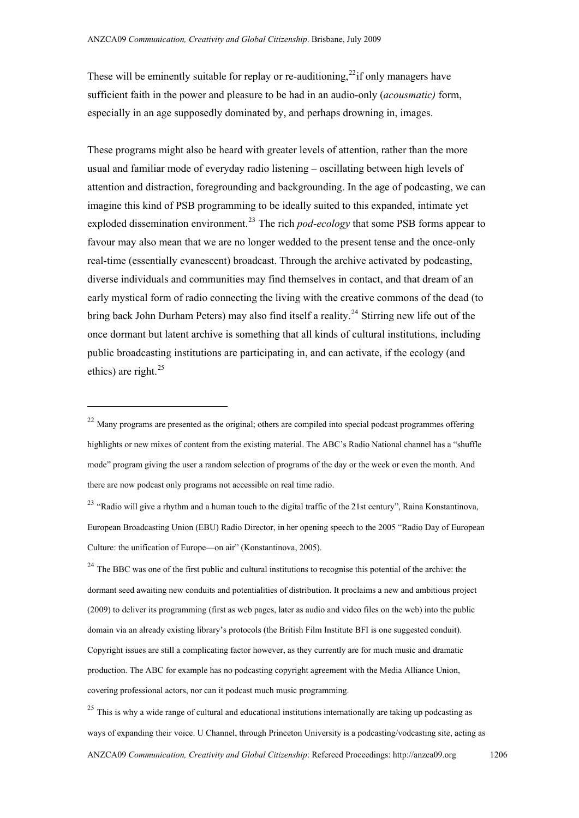These will be eminently suitable for replay or re-auditioning,  $^{22}$  $^{22}$  $^{22}$  if only managers have sufficient faith in the power and pleasure to be had in an audio-only (*acousmatic)* form, especially in an age supposedly dominated by, and perhaps drowning in, images.

These programs might also be heard with greater levels of attention, rather than the more usual and familiar mode of everyday radio listening – oscillating between high levels of attention and distraction, foregrounding and backgrounding. In the age of podcasting, we can imagine this kind of PSB programming to be ideally suited to this expanded, intimate yet exploded dissemination environment.<sup>[23](#page-15-1)</sup> The rich *pod-ecology* that some PSB forms appear to favour may also mean that we are no longer wedded to the present tense and the once-only real-time (essentially evanescent) broadcast. Through the archive activated by podcasting, diverse individuals and communities may find themselves in contact, and that dream of an early mystical form of radio connecting the living with the creative commons of the dead (to bring back John Durham Peters) may also find itself a reality.<sup>[24](#page-15-2)</sup> Stirring new life out of the once dormant but latent archive is something that all kinds of cultural institutions, including public broadcasting institutions are participating in, and can activate, if the ecology (and ethics) are right. $^{25}$  $^{25}$  $^{25}$ 

 $\overline{a}$ 

<span id="page-15-2"></span><sup>24</sup> The BBC was one of the first public and cultural institutions to recognise this potential of the archive: the dormant seed awaiting new conduits and potentialities of distribution. It proclaims a new and ambitious project (2009) to deliver its programming (first as web pages, later as audio and video files on the web) into the public domain via an already existing library's protocols (the British Film Institute BFI is one suggested conduit). Copyright issues are still a complicating factor however, as they currently are for much music and dramatic production. The ABC for example has no podcasting copyright agreement with the Media Alliance Union, covering professional actors, nor can it podcast much music programming.

<span id="page-15-3"></span><sup>25</sup> This is why a wide range of cultural and educational institutions internationally are taking up podcasting as ways of expanding their voice. U Channel, through Princeton University is a podcasting/vodcasting site, acting as ANZCA09 *Communication, Creativity and Global Citizenship*: Refereed Proceedings: http://anzca09.org 1206

<span id="page-15-0"></span> $^{22}$  Many programs are presented as the original; others are compiled into special podcast programmes offering highlights or new mixes of content from the existing material. The ABC's Radio National channel has a "shuffle mode" program giving the user a random selection of programs of the day or the week or even the month. And there are now podcast only programs not accessible on real time radio.

<span id="page-15-1"></span><sup>&</sup>lt;sup>23</sup> "Radio will give a rhythm and a human touch to the digital traffic of the 21st century", Raina Konstantinova, European Broadcasting Union (EBU) Radio Director, in her opening speech to the 2005 "Radio Day of European Culture: the unification of Europe—on air" (Konstantinova, 2005).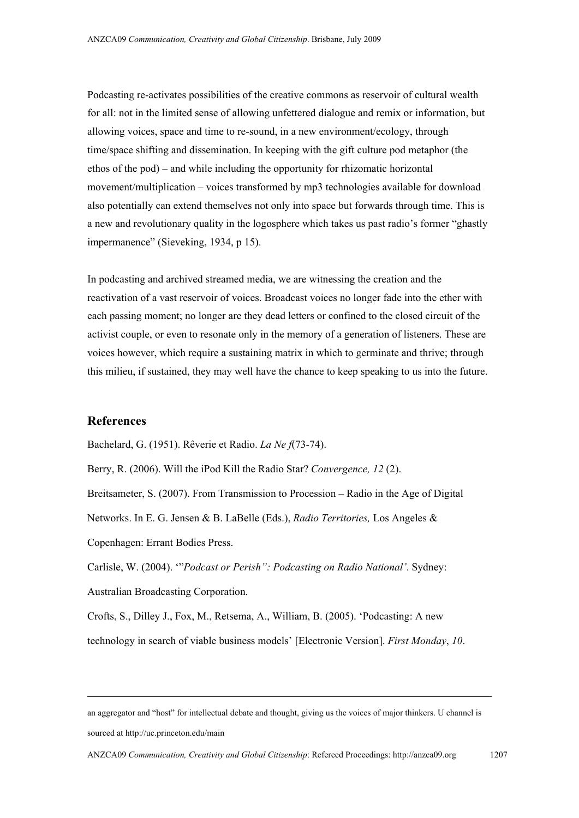Podcasting re-activates possibilities of the creative commons as reservoir of cultural wealth for all: not in the limited sense of allowing unfettered dialogue and remix or information, but allowing voices, space and time to re-sound, in a new environment/ecology, through time/space shifting and dissemination. In keeping with the gift culture pod metaphor (the ethos of the pod) – and while including the opportunity for rhizomatic horizontal movement/multiplication – voices transformed by mp3 technologies available for download also potentially can extend themselves not only into space but forwards through time. This is a new and revolutionary quality in the logosphere which takes us past radio's former "ghastly impermanence" (Sieveking, 1934, p 15).

In podcasting and archived streamed media, we are witnessing the creation and the reactivation of a vast reservoir of voices. Broadcast voices no longer fade into the ether with each passing moment; no longer are they dead letters or confined to the closed circuit of the activist couple, or even to resonate only in the memory of a generation of listeners. These are voices however, which require a sustaining matrix in which to germinate and thrive; through this milieu, if sustained, they may well have the chance to keep speaking to us into the future.

# **References**

**.** 

Bachelard, G. (1951). Rêverie et Radio. *La Ne f*(73-74).

Berry, R. (2006). Will the iPod Kill the Radio Star? *Convergence, 12* (2).

Breitsameter, S. (2007). From Transmission to Procession – Radio in the Age of Digital

Networks. In E. G. Jensen & B. LaBelle (Eds.), *Radio Territories,* Los Angeles &

Copenhagen: Errant Bodies Press.

Carlisle, W. (2004). '"*Podcast or Perish": Podcasting on Radio National'*. Sydney: Australian Broadcasting Corporation.

Crofts, S., Dilley J., Fox, M., Retsema, A., William, B. (2005). 'Podcasting: A new technology in search of viable business models' [Electronic Version]. *First Monday*, *10*.

an aggregator and "host" for intellectual debate and thought, giving us the voices of major thinkers. U channel is sourced at http://uc.princeton.edu/main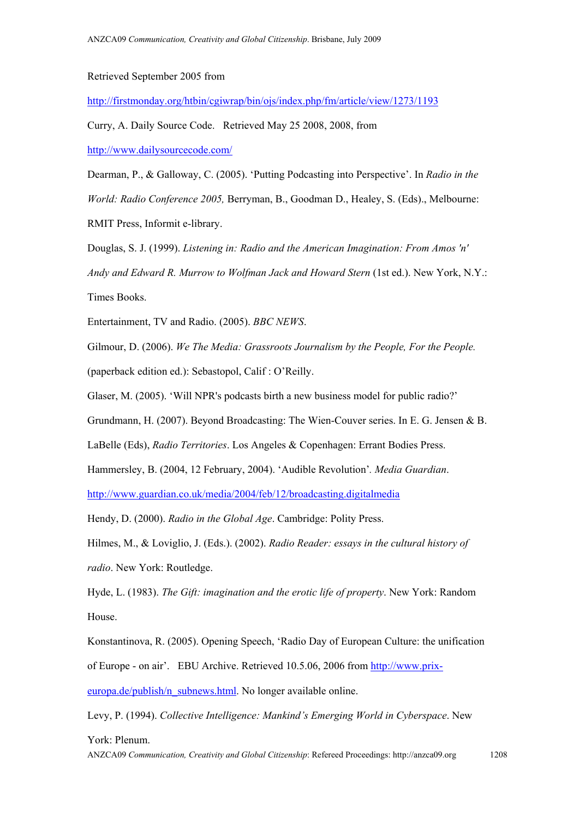Retrieved September 2005 from

<http://firstmonday.org/htbin/cgiwrap/bin/ojs/index.php/fm/article/view/1273/1193>

Curry, A. Daily Source Code. Retrieved May 25 2008, 2008, from <http://www.dailysourcecode.com/>

Dearman, P., & Galloway, C. (2005). 'Putting Podcasting into Perspective'. In *Radio in the World: Radio Conference 2005,* Berryman, B., Goodman D., Healey, S. (Eds)., Melbourne: RMIT Press, Informit e-library.

Douglas, S. J. (1999). *Listening in: Radio and the American Imagination: From Amos 'n' Andy and Edward R. Murrow to Wolfman Jack and Howard Stern* (1st ed.). New York, N.Y.: Times Books.

Entertainment, TV and Radio. (2005). *BBC NEWS*.

Gilmour, D. (2006). *We The Media: Grassroots Journalism by the People, For the People.*  (paperback edition ed.): Sebastopol, Calif : O'Reilly.

Glaser, M. (2005). 'Will NPR's podcasts birth a new business model for public radio?'

Grundmann, H. (2007). Beyond Broadcasting: The Wien-Couver series. In E. G. Jensen & B.

LaBelle (Eds), *Radio Territories*. Los Angeles & Copenhagen: Errant Bodies Press.

Hammersley, B. (2004, 12 February, 2004). 'Audible Revolution'*. Media Guardian*.

<http://www.guardian.co.uk/media/2004/feb/12/broadcasting.digitalmedia>

Hendy, D. (2000). *Radio in the Global Age*. Cambridge: Polity Press.

Hilmes, M., & Loviglio, J. (Eds.). (2002). *Radio Reader: essays in the cultural history of radio*. New York: Routledge.

Hyde, L. (1983). *The Gift: imagination and the erotic life of property*. New York: Random House.

Konstantinova, R. (2005). Opening Speech, 'Radio Day of European Culture: the unification of Europe - on air'. EBU Archive. Retrieved 10.5.06, 2006 from [http://www.prix](http://www.prix-europa.de/publish/n_subnews.html)[europa.de/publish/n\\_subnews.html](http://www.prix-europa.de/publish/n_subnews.html). No longer available online.

Levy, P. (1994). *Collective Intelligence: Mankind's Emerging World in Cyberspace*. New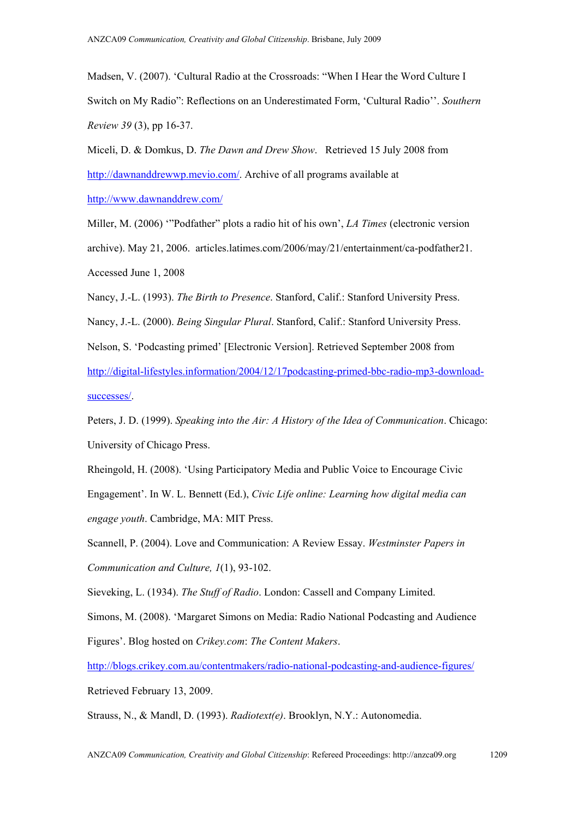Madsen, V. (2007). 'Cultural Radio at the Crossroads: "When I Hear the Word Culture I Switch on My Radio": Reflections on an Underestimated Form, 'Cultural Radio''. *Southern Review 39* (3), pp 16-37.

Miceli, D. & Domkus, D. *The Dawn and Drew Show*. Retrieved 15 July 2008 from <http://dawnanddrewwp.mevio.com/>. Archive of all programs available at

<http://www.dawnanddrew.com/>

Miller, M. (2006) '"Podfather" plots a radio hit of his own', *LA Times* (electronic version archive). May 21, 2006. articles.latimes.com/2006/may/21/entertainment/ca-podfather21. Accessed June 1, 2008

Nancy, J.-L. (1993). *The Birth to Presence*. Stanford, Calif.: Stanford University Press.

Nancy, J.-L. (2000). *Being Singular Plural*. Stanford, Calif.: Stanford University Press.

Nelson, S. 'Podcasting primed' [Electronic Version]. Retrieved September 2008 from

[http://digital-lifestyles.information/2004/12/17podcasting-primed-bbc-radio-mp3-download](http://digital-lifestyles.information/2004/12/17podcasting-primed-bbc-radio-mp3-download-successes/)[successes/](http://digital-lifestyles.information/2004/12/17podcasting-primed-bbc-radio-mp3-download-successes/).

Peters, J. D. (1999). *Speaking into the Air: A History of the Idea of Communication*. Chicago: University of Chicago Press.

Rheingold, H. (2008). 'Using Participatory Media and Public Voice to Encourage Civic Engagement'. In W. L. Bennett (Ed.), *Civic Life online: Learning how digital media can engage youth*. Cambridge, MA: MIT Press.

Scannell, P. (2004). Love and Communication: A Review Essay. *Westminster Papers in Communication and Culture, 1*(1), 93-102.

Sieveking, L. (1934). *The Stuff of Radio*. London: Cassell and Company Limited.

Simons, M. (2008). 'Margaret Simons on Media: Radio National Podcasting and Audience Figures'. Blog hosted on *Crikey.com*: *The Content Makers*.

<http://blogs.crikey.com.au/contentmakers/radio-national-podcasting-and-audience-figures/> Retrieved February 13, 2009.

Strauss, N., & Mandl, D. (1993). *Radiotext(e)*. Brooklyn, N.Y.: Autonomedia.